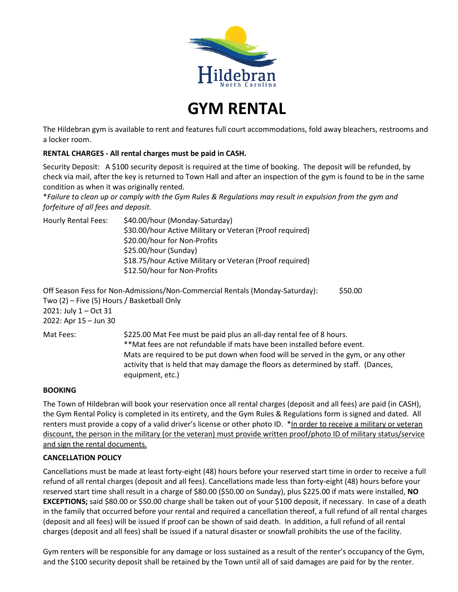

**GYM RENTAL**

The Hildebran gym is available to rent and features full court accommodations, fold away bleachers, restrooms and a locker room.

### **RENTAL CHARGES - All rental charges must be paid in CASH.**

Security Deposit: A \$100 security deposit is required at the time of booking. The deposit will be refunded, by check via mail, after the key is returned to Town Hall and after an inspection of the gym is found to be in the same condition as when it was originally rented.

\**Failure to clean up or comply with the Gym Rules & Regulations may result in expulsion from the gym and forfeiture of all fees and deposit.*

| Hourly Rental Fees: | \$40.00/hour (Monday-Saturday)<br>\$30.00/hour Active Military or Veteran (Proof required)<br>\$20.00/hour for Non-Profits<br>\$25.00/hour (Sunday) |  |
|---------------------|-----------------------------------------------------------------------------------------------------------------------------------------------------|--|
|                     | \$18.75/hour Active Military or Veteran (Proof required)<br>\$12.50/hour for Non-Profits                                                            |  |

Off Season Fess for Non-Admissions/Non-Commercial Rentals (Monday-Saturday): \$50.00 Two (2) – Five (5) Hours / Basketball Only 2021: July 1 – Oct 31 2022: Apr 15 – Jun 30 Mat Fees:  $$225.00$  Mat Fee must be paid plus an all-day rental fee of 8 hours.

\*\*Mat fees are not refundable if mats have been installed before event. Mats are required to be put down when food will be served in the gym, or any other activity that is held that may damage the floors as determined by staff. (Dances, equipment, etc.)

#### **BOOKING**

The Town of Hildebran will book your reservation once all rental charges (deposit and all fees) are paid (in CASH), the Gym Rental Policy is completed in its entirety, and the Gym Rules & Regulations form is signed and dated. All renters must provide a copy of a valid driver's license or other photo ID. \*In order to receive a military or veteran discount, the person in the military (or the veteran) must provide written proof/photo ID of military status/service and sign the rental documents.

#### **CANCELLATION POLICY**

Cancellations must be made at least forty-eight (48) hours before your reserved start time in order to receive a full refund of all rental charges (deposit and all fees). Cancellations made less than forty-eight (48) hours before your reserved start time shall result in a charge of \$80.00 (\$50.00 on Sunday), plus \$225.00 if mats were installed, **NO EXCEPTIONS;** said \$80.00 or \$50.00 charge shall be taken out of your \$100 deposit, if necessary. In case of a death in the family that occurred before your rental and required a cancellation thereof, a full refund of all rental charges (deposit and all fees) will be issued if proof can be shown of said death. In addition, a full refund of all rental charges (deposit and all fees) shall be issued if a natural disaster or snowfall prohibits the use of the facility.

Gym renters will be responsible for any damage or loss sustained as a result of the renter's occupancy of the Gym, and the \$100 security deposit shall be retained by the Town until all of said damages are paid for by the renter.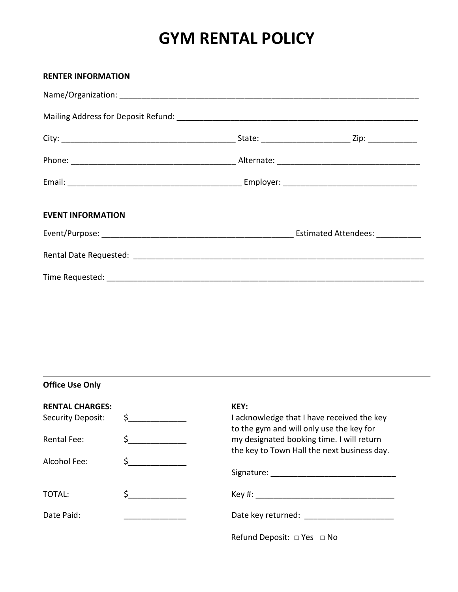## **GYM RENTAL POLICY**

| <b>RENTER INFORMATION</b> |  |
|---------------------------|--|
|                           |  |
|                           |  |
|                           |  |
|                           |  |
|                           |  |
| <b>EVENT INFORMATION</b>  |  |
|                           |  |
|                           |  |
|                           |  |

**Office Use Only**

| <b>RENTAL CHARGES:</b><br>Security Deposit: | $\mathsf{\dot{S}}$ $\qquad \qquad \qquad$ | KEY:<br>I acknowledge that I have received the key<br>to the gym and will only use the key for |  |
|---------------------------------------------|-------------------------------------------|------------------------------------------------------------------------------------------------|--|
| <b>Rental Fee:</b>                          |                                           | my designated booking time. I will return<br>the key to Town Hall the next business day.       |  |
| Alcohol Fee:                                |                                           |                                                                                                |  |
| TOTAL:                                      | <u> 1990 - Jan Barnett, p</u>             |                                                                                                |  |
| Date Paid:                                  |                                           | Date key returned: Date key returned:                                                          |  |
|                                             |                                           | Refund Deposit: $\Box$ Yes $\Box$ No                                                           |  |